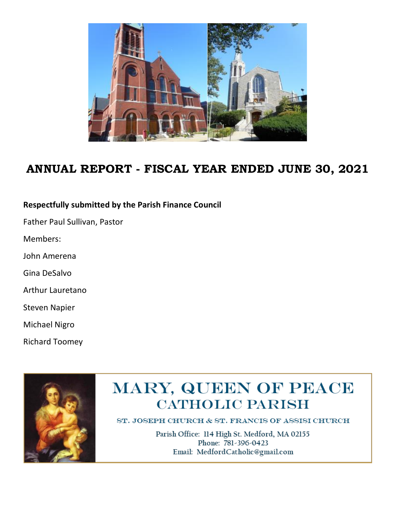

## **ANNUAL REPORT - FISCAL YEAR ENDED JUNE 30, 2021**

#### **Respectfully submitted by the Parish Finance Council**

Father Paul Sullivan, Pastor

Members:

John Amerena

Gina DeSalvo

Arthur Lauretano

Steven Napier

Michael Nigro

Richard Toomey



# MARY, QUEEN OF PEACE **CATHOLIC PARISH**

ST. JOSEPH CHURCH & ST. FRANCIS OF ASSISI CHURCH

Parish Office: 114 High St. Medford, MA 02155 Phone: 781-396-0423 Email: MedfordCatholic@gmail.com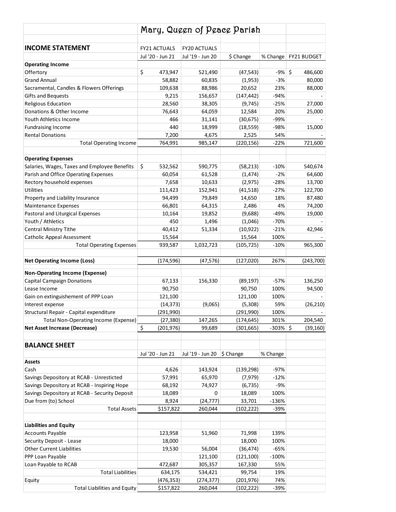|                                               | Mary, Queen of Peace Parish |                     |            |             |               |
|-----------------------------------------------|-----------------------------|---------------------|------------|-------------|---------------|
|                                               |                             |                     |            |             |               |
| <b>INCOME STATEMENT</b>                       | <b>FY21 ACTUALS</b>         | <b>FY20 ACTUALS</b> |            |             |               |
|                                               | Jul '20 - Jun 21            | Jul '19 - Jun 20    | \$ Change  | % Change    | FY21 BUDGET   |
| <b>Operating Income</b>                       |                             |                     |            |             |               |
| Offertory                                     | \$<br>473,947               | 521,490             | (47, 543)  | $-9%$       | \$<br>486,600 |
| <b>Grand Annual</b>                           | 58,882                      | 60,835              | (1,953)    | $-3%$       | 80,000        |
| Sacramental, Candles & Flowers Offerings      | 109,638                     | 88,986              | 20,652     | 23%         | 88,000        |
| <b>Gifts and Bequests</b>                     | 9,215                       | 156,657             | (147, 442) | $-94%$      |               |
| Religious Education                           | 28,560                      | 38,305              | (9, 745)   | $-25%$      | 27,000        |
| Donations & Other Income                      | 76,643                      | 64,059              | 12,584     | 20%         | 25,000        |
| Youth Athletics Income                        | 466                         | 31,141              | (30, 675)  | -99%        |               |
| <b>Fundraising Income</b>                     | 440                         | 18,999              | (18, 559)  | -98%        | 15,000        |
| <b>Rental Donations</b>                       | 7,200                       | 4,675               | 2,525      | 54%         |               |
| <b>Total Operating Income</b>                 | 764,991                     | 985,147             | (220, 156) | $-22%$      | 721,600       |
| <b>Operating Expenses</b>                     |                             |                     |            |             |               |
| Salaries, Wages, Taxes and Employee Benefits  | \$<br>532,562               | 590,775             | (58, 213)  | $-10%$      | 540,674       |
| Parish and Office Operating Expenses          | 60,054                      | 61,528              | (1, 474)   | $-2%$       | 64,600        |
| Rectory household expenses                    | 7,658                       | 10,633              | (2, 975)   | $-28%$      | 13,700        |
| <b>Utilities</b>                              | 111,423                     | 152,941             | (41,518)   | $-27%$      | 122,700       |
| Property and Liability Insurance              | 94,499                      | 79,849              | 14,650     | 18%         | 87,480        |
| Maintenance Expenses                          | 66,801                      | 64,315              | 2,486      | 4%          | 74,200        |
| Pastoral and Liturgical Expenses              | 10,164                      | 19,852              | (9,688)    | $-49%$      | 19,000        |
| Youth / Athletics                             | 450                         | 1,496               | (1,046)    | $-70%$      |               |
| Central Ministry Tithe                        | 40,412                      | 51,334              | (10, 922)  | $-21%$      | 42,946        |
| <b>Catholic Appeal Assessment</b>             | 15,564                      |                     | 15,564     | 100%        |               |
| <b>Total Operating Expenses</b>               | 939,587                     | 1,032,723           | (105, 725) | $-10%$      | 965,300       |
|                                               |                             |                     |            |             |               |
| <b>Net Operating Income (Loss)</b>            | (174,596)                   | (47, 576)           | (127, 020) | 267%        | (243,700)     |
| <b>Non-Operating Income (Expense)</b>         |                             |                     |            |             |               |
| <b>Capital Campaign Donations</b>             | 67,133                      | 156,330             | (89, 197)  | $-57%$      | 136,250       |
| Lease Income                                  | 90,750                      |                     | 90,750     | 100%        | 94,500        |
| Gain on extinguishement of PPP Loan           | 121,100                     |                     | 121,100    | 100%        |               |
| Interest expense                              | (14, 373)                   | (9,065)             | (5,308)    | 59%         | (26, 210)     |
| Structural Repair - Capital expenditure       | (291, 990)                  |                     | (291, 990) | 100%        |               |
| Total Non-Operating Income (Expense)          | (27, 380)                   | 147,265             | (174, 645) | 301%        | 204,540       |
| <b>Net Asset Increase (Decrease)</b>          | \$<br>(201,976)             | 99,689              | (301, 665) | $-303\%$ \$ | (39, 160)     |
|                                               |                             |                     |            |             |               |
| <b>BALANCE SHEET</b>                          |                             |                     |            |             |               |
|                                               | Jul '20 - Jun 21            | Jul '19 - Jun 20    | \$ Change  | % Change    |               |
| <b>Assets</b>                                 |                             |                     |            |             |               |
| Cash                                          | 4,626                       | 143,924             | (139, 298) | $-97%$      |               |
| Savings Depository at RCAB - Unresticted      | 57,991                      | 65,970              | (7, 979)   | $-12%$      |               |
| Savings Depository at RCAB - Inspiring Hope   | 68,192                      | 74,927              | (6, 735)   | $-9%$       |               |
| Savings Depository at RCAB - Security Deposit | 18,089                      | 0                   | 18,089     | 100%        |               |
| Due from (to) School                          | 8,924                       | (24, 777)           | 33,701     | $-136%$     |               |
| <b>Total Assets</b>                           | \$157,822                   | 260,044             | (102,222)  | -39%        |               |
|                                               |                             |                     |            |             |               |
| <b>Liabilities and Equity</b>                 |                             |                     |            |             |               |
| <b>Accounts Payable</b>                       | 123,958                     | 51,960              | 71,998     | 139%        |               |
| Security Deposit - Lease                      | 18,000                      |                     | 18,000     | 100%        |               |
| <b>Other Current Liabilities</b>              | 19,530                      | 56,004              | (36, 474)  | $-65%$      |               |
| PPP Loan Payable                              |                             | 121,100             | (121, 100) | $-100%$     |               |
| Loan Payable to RCAB                          | 472,687                     | 305,357             | 167,330    | 55%         |               |
| <b>Total Liabilities</b>                      | 634,175                     | 534,421             | 99,754     | 19%         |               |
| Equity                                        | (476,353)                   | (274,377)           | (201, 976) | 74%         |               |
| <b>Total Liabilities and Equity</b>           | \$157,822                   | 260,044             | (102, 222) | $-39%$      |               |